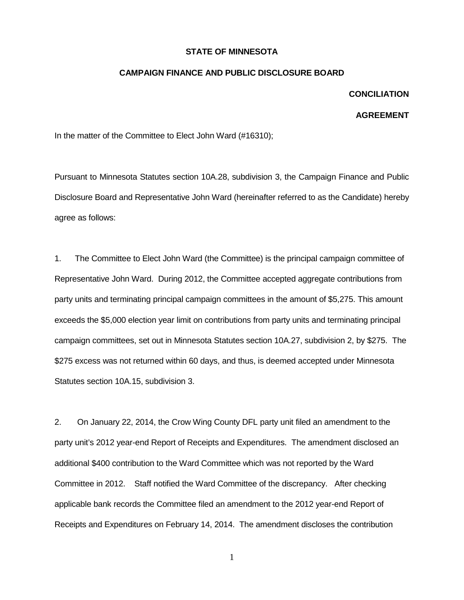## **STATE OF MINNESOTA**

## **CAMPAIGN FINANCE AND PUBLIC DISCLOSURE BOARD**

## **CONCILIATION**

## **AGREEMENT**

In the matter of the Committee to Elect John Ward (#16310);

Pursuant to Minnesota Statutes section 10A.28, subdivision 3, the Campaign Finance and Public Disclosure Board and Representative John Ward (hereinafter referred to as the Candidate) hereby agree as follows:

1. The Committee to Elect John Ward (the Committee) is the principal campaign committee of Representative John Ward. During 2012, the Committee accepted aggregate contributions from party units and terminating principal campaign committees in the amount of \$5,275. This amount exceeds the \$5,000 election year limit on contributions from party units and terminating principal campaign committees, set out in Minnesota Statutes section 10A.27, subdivision 2, by \$275. The \$275 excess was not returned within 60 days, and thus, is deemed accepted under Minnesota Statutes section 10A.15, subdivision 3.

2. On January 22, 2014, the Crow Wing County DFL party unit filed an amendment to the party unit's 2012 year-end Report of Receipts and Expenditures. The amendment disclosed an additional \$400 contribution to the Ward Committee which was not reported by the Ward Committee in 2012. Staff notified the Ward Committee of the discrepancy. After checking applicable bank records the Committee filed an amendment to the 2012 year-end Report of Receipts and Expenditures on February 14, 2014. The amendment discloses the contribution

1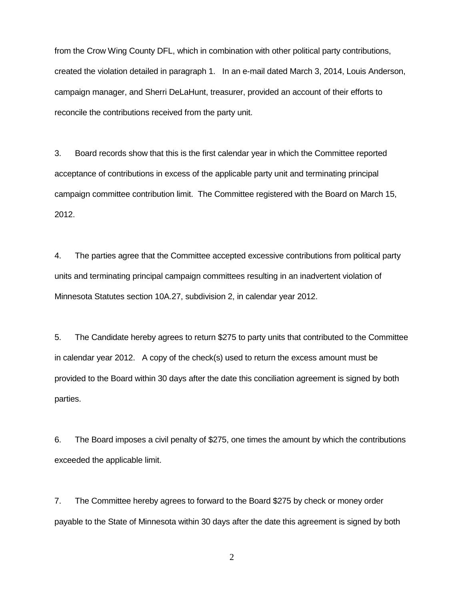from the Crow Wing County DFL, which in combination with other political party contributions, created the violation detailed in paragraph 1. In an e-mail dated March 3, 2014, Louis Anderson, campaign manager, and Sherri DeLaHunt, treasurer, provided an account of their efforts to reconcile the contributions received from the party unit.

3. Board records show that this is the first calendar year in which the Committee reported acceptance of contributions in excess of the applicable party unit and terminating principal campaign committee contribution limit. The Committee registered with the Board on March 15, 2012.

4. The parties agree that the Committee accepted excessive contributions from political party units and terminating principal campaign committees resulting in an inadvertent violation of Minnesota Statutes section 10A.27, subdivision 2, in calendar year 2012.

5. The Candidate hereby agrees to return \$275 to party units that contributed to the Committee in calendar year 2012. A copy of the check(s) used to return the excess amount must be provided to the Board within 30 days after the date this conciliation agreement is signed by both parties.

6. The Board imposes a civil penalty of \$275, one times the amount by which the contributions exceeded the applicable limit.

7. The Committee hereby agrees to forward to the Board \$275 by check or money order payable to the State of Minnesota within 30 days after the date this agreement is signed by both

2